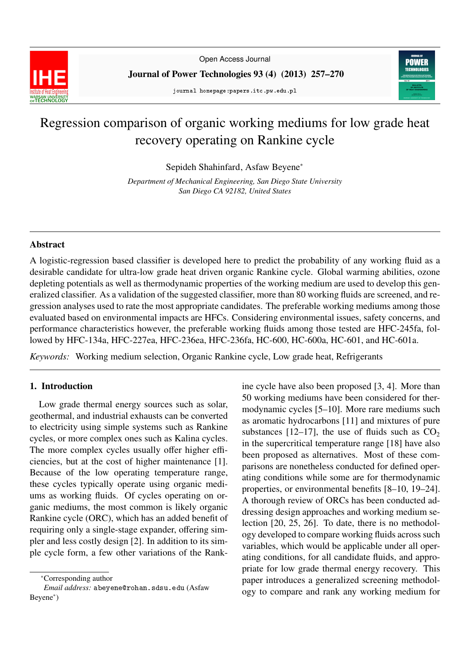

Open Access Journal

Journal of Power Technologies 93 (4) (2013) 257–270

journal homepage:papers.itc.pw.edu.pl



# Regression comparison of organic working mediums for low grade heat recovery operating on Rankine cycle

Sepideh Shahinfard, Asfaw Beyene<sup>∗</sup>

*Department of Mechanical Engineering, San Diego State University San Diego CA 92182, United States*

# Abstract

A logistic-regression based classifier is developed here to predict the probability of any working fluid as a desirable candidate for ultra-low grade heat driven organic Rankine cycle. Global warming abilities, ozone depleting potentials as well as thermodynamic properties of the working medium are used to develop this generalized classifier. As a validation of the suggested classifier, more than 80 working fluids are screened, and regression analyses used to rate the most appropriate candidates. The preferable working mediums among those evaluated based on environmental impacts are HFCs. Considering environmental issues, safety concerns, and performance characteristics however, the preferable working fluids among those tested are HFC-245fa, followed by HFC-134a, HFC-227ea, HFC-236ea, HFC-236fa, HC-600, HC-600a, HC-601, and HC-601a.

*Keywords:* Working medium selection, Organic Rankine cycle, Low grade heat, Refrigerants

# 1. Introduction

Low grade thermal energy sources such as solar, geothermal, and industrial exhausts can be converted to electricity using simple systems such as Rankine cycles, or more complex ones such as Kalina cycles. The more complex cycles usually offer higher efficiencies, but at the cost of higher maintenance [1]. Because of the low operating temperature range, these cycles typically operate using organic mediums as working fluids. Of cycles operating on organic mediums, the most common is likely organic Rankine cycle (ORC), which has an added benefit of requiring only a single-stage expander, offering simpler and less costly design [2]. In addition to its simple cycle form, a few other variations of the Rank-

ine cycle have also been proposed [3, 4]. More than 50 working mediums have been considered for thermodynamic cycles [5–10]. More rare mediums such as aromatic hydrocarbons [11] and mixtures of pure substances [12–17], the use of fluids such as  $CO<sub>2</sub>$ in the supercritical temperature range [18] have also been proposed as alternatives. Most of these comparisons are nonetheless conducted for defined operating conditions while some are for thermodynamic properties, or environmental benefits [8–10, 19–24]. A thorough review of ORCs has been conducted addressing design approaches and working medium selection [20, 25, 26]. To date, there is no methodology developed to compare working fluids across such variables, which would be applicable under all operating conditions, for all candidate fluids, and appropriate for low grade thermal energy recovery. This paper introduces a generalized screening methodology to compare and rank any working medium for

<sup>∗</sup>Corresponding author

*Email address:* abeyene@rohan.sdsu.edu (Asfaw Beyene<sup>∗</sup> )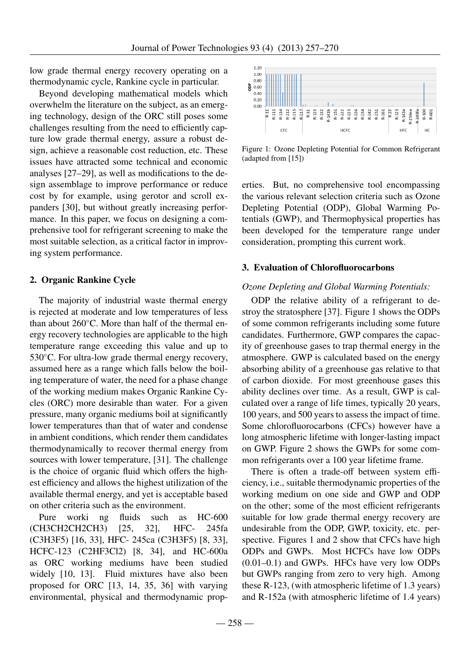low grade thermal energy recovery operating on a thermodynamic cycle, Rankine cycle in particular.

Beyond developing mathematical models which overwhelm the literature on the subject, as an emerging technology, design of the ORC still poses some challenges resulting from the need to efficiently capture low grade thermal energy, assure a robust design, achieve a reasonable cost reduction, etc. These issues have attracted some technical and economic analyses [27–29], as well as modifications to the design assemblage to improve performance or reduce cost by for example, using gerotor and scroll expanders [30], but without greatly increasing performance. In this paper, we focus on designing a comprehensive tool for refrigerant screening to make the most suitable selection, as a critical factor in improving system performance.

# 2. Organic Rankine Cycle

The majority of industrial waste thermal energy is rejected at moderate and low temperatures of less than about 260◦C. More than half of the thermal energy recovery technologies are applicable to the high temperature range exceeding this value and up to 530 °C. For ultra-low grade thermal energy recovery, assumed here as a range which falls below the boiling temperature of water, the need for a phase change of the working medium makes Organic Rankine Cycles (ORC) more desirable than water. For a given pressure, many organic mediums boil at significantly lower temperatures than that of water and condense in ambient conditions, which render them candidates thermodynamically to recover thermal energy from sources with lower temperature, [31]. The challenge is the choice of organic fluid which offers the highest efficiency and allows the highest utilization of the available thermal energy, and yet is acceptable based on other criteria such as the environment.

Pure worki ng fluids such as HC-600 (CH3CH2CH2CH3) [25, 32], HFC- 245fa (C3H3F5) [16, 33], HFC- 245ca (C3H3F5) [8, 33], HCFC-123 (C2HF3Cl2) [8, 34], and HC-600a as ORC working mediums have been studied widely [10, 13]. Fluid mixtures have also been proposed for ORC [13, 14, 35, 36] with varying environmental, physical and thermodynamic prop-



Figure 1: Ozone Depleting Potential for Common Refrigerant (adapted from [15])

erties. But, no comprehensive tool encompassing the various relevant selection criteria such as Ozone Depleting Potential (ODP), Global Warming Potentials (GWP), and Thermophysical properties has been developed for the temperature range under consideration, prompting this current work.

# 3. Evaluation of Chlorofluorocarbons

# *Ozone Depleting and Global Warming Potentials:*

ODP the relative ability of a refrigerant to destroy the stratosphere [37]. Figure 1 shows the ODPs of some common refrigerants including some future candidates. Furthermore, GWP compares the capacity of greenhouse gases to trap thermal energy in the atmosphere. GWP is calculated based on the energy absorbing ability of a greenhouse gas relative to that of carbon dioxide. For most greenhouse gases this ability declines over time. As a result, GWP is calculated over a range of life times, typically 20 years, 100 years, and 500 years to assess the impact of time. Some chlorofluorocarbons (CFCs) however have a long atmospheric lifetime with longer-lasting impact on GWP. Figure 2 shows the GWPs for some common refrigerants over a 100 year lifetime frame.

There is often a trade-off between system efficiency, i.e., suitable thermodynamic properties of the working medium on one side and GWP and ODP on the other; some of the most efficient refrigerants suitable for low grade thermal energy recovery are undesirable from the ODP, GWP, toxicity, etc. perspective. Figures 1 and 2 show that CFCs have high ODPs and GWPs. Most HCFCs have low ODPs (0.01–0.1) and GWPs. HFCs have very low ODPs but GWPs ranging from zero to very high. Among these R-123, (with atmospheric lifetime of 1.3 years) and R-152a (with atmospheric lifetime of 1.4 years)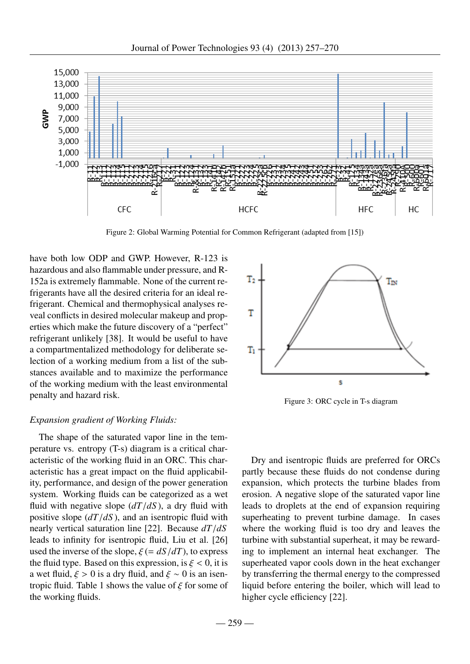

Figure 2: Global Warming Potential for Common Refrigerant (adapted from [15])

have both low ODP and GWP. However, R-123 is hazardous and also flammable under pressure, and R-152a is extremely flammable. None of the current refrigerants have all the desired criteria for an ideal refrigerant. Chemical and thermophysical analyses reveal conflicts in desired molecular makeup and properties which make the future discovery of a "perfect" refrigerant unlikely [38]. It would be useful to have a compartmentalized methodology for deliberate selection of a working medium from a list of the substances available and to maximize the performance of the working medium with the least environmental penalty and hazard risk.

# *Expansion gradient of Working Fluids:*

The shape of the saturated vapor line in the temperature vs. entropy (T-s) diagram is a critical characteristic of the working fluid in an ORC. This characteristic has a great impact on the fluid applicability, performance, and design of the power generation system. Working fluids can be categorized as a wet fluid with negative slope (*dT*/*dS* ), a dry fluid with positive slope (*dT*/*dS* ), and an isentropic fluid with nearly vertical saturation line [22]. Because *dT*/*dS* leads to infinity for isentropic fluid, Liu et al. [26] used the inverse of the slope,  $\xi = dS/dT$ , to express the fluid type. Based on this expression, is  $\xi < 0$ , it is a wet fluid,  $\xi > 0$  is a dry fluid, and  $\xi \sim 0$  is an isentropic fluid. Table 1 shows the value of  $\xi$  for some of the working fluids.



Figure 3: ORC cycle in T-s diagram

Dry and isentropic fluids are preferred for ORCs partly because these fluids do not condense during expansion, which protects the turbine blades from erosion. A negative slope of the saturated vapor line leads to droplets at the end of expansion requiring superheating to prevent turbine damage. In cases where the working fluid is too dry and leaves the turbine with substantial superheat, it may be rewarding to implement an internal heat exchanger. The superheated vapor cools down in the heat exchanger by transferring the thermal energy to the compressed liquid before entering the boiler, which will lead to higher cycle efficiency [22].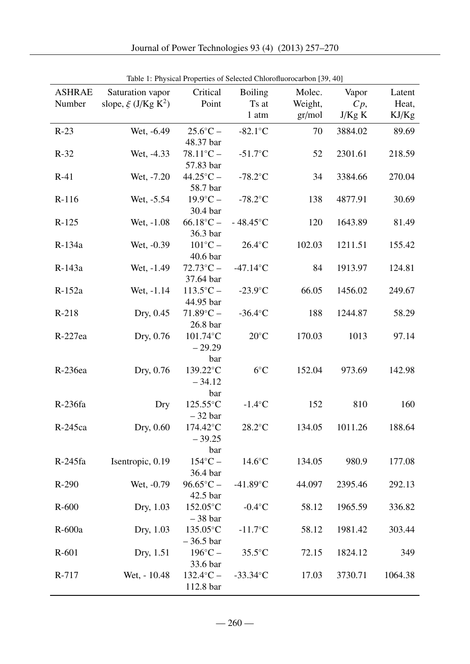| <b>ASHRAE</b> | Saturation vapor                    | Critical                             | <b>Boiling</b>     | Table 1. First at Froperies of Selected Chronomuotocarbon [39, 40]<br>Molec. | Vapor   | Latent  |
|---------------|-------------------------------------|--------------------------------------|--------------------|------------------------------------------------------------------------------|---------|---------|
| Number        | slope, $\xi$ (J/Kg K <sup>2</sup> ) | Point                                | Ts at              | Weight,                                                                      | $C_p$ , | Heat,   |
|               |                                     |                                      | 1 atm              | gr/mol                                                                       | J/Kg K  | KJ/Kg   |
| $R-23$        | Wet, -6.49                          | $25.6^{\circ}C -$<br>48.37 bar       | $-82.1^{\circ}$ C  | 70                                                                           | 3884.02 | 89.69   |
| $R-32$        | Wet, -4.33                          | $78.11^{\circ}C -$<br>57.83 bar      | $-51.7^{\circ}$ C  | 52                                                                           | 2301.61 | 218.59  |
| $R-41$        | Wet, -7.20                          | $44.25^{\circ}C -$<br>58.7 bar       | $-78.2$ °C         | 34                                                                           | 3384.66 | 270.04  |
| $R-116$       | Wet, -5.54                          | $19.9^{\circ}C -$<br>30.4 bar        | $-78.2$ °C         | 138                                                                          | 4877.91 | 30.69   |
| $R-125$       | Wet, -1.08                          | $66.18^{\circ}C -$<br>36.3 bar       | $-48.45^{\circ}$ C | 120                                                                          | 1643.89 | 81.49   |
| R-134a        | Wet, -0.39                          | $101^{\circ}C -$<br>40.6 bar         | $26.4$ °C          | 102.03                                                                       | 1211.51 | 155.42  |
| R-143a        | Wet, -1.49                          | $72.73^{\circ}C -$<br>37.64 bar      | $-47.14$ °C        | 84                                                                           | 1913.97 | 124.81  |
| R-152a        | Wet, -1.14                          | $113.5$ °C –<br>44.95 bar            | $-23.9$ °C         | 66.05                                                                        | 1456.02 | 249.67  |
| $R-218$       | Dry, 0.45                           | $71.89^{\circ}C -$<br>26.8 bar       | $-36.4$ °C         | 188                                                                          | 1244.87 | 58.29   |
| $R-227ea$     | Dry, 0.76                           | 101.74°C<br>$-29.29$                 | $20^{\circ}$ C     | 170.03                                                                       | 1013    | 97.14   |
| R-236ea       | Dry, 0.76                           | bar<br>139.22°C<br>$-34.12$          | $6^{\circ}C$       | 152.04                                                                       | 973.69  | 142.98  |
| R-236fa       | Dry                                 | bar<br>125.55°C<br>$-32$ bar         | $-1.4$ °C          | 152                                                                          | 810     | 160     |
| R-245ca       | Dry, 0.60                           | $174.42^{\circ}$ C<br>$-39.25$       | $28.2$ °C          | 134.05                                                                       | 1011.26 | 188.64  |
| $R-245fa$     | Isentropic, 0.19                    | bar<br>$154^{\circ}$ C –<br>36.4 bar | $14.6^{\circ}$ C   | 134.05                                                                       | 980.9   | 177.08  |
| $R-290$       | Wet, -0.79                          | $96.65^{\circ}C -$<br>42.5 bar       | $-41.89^{\circ}$ C | 44.097                                                                       | 2395.46 | 292.13  |
| $R-600$       | Dry, 1.03                           | 152.05°C<br>$-38$ bar                | $-0.4$ °C          | 58.12                                                                        | 1965.59 | 336.82  |
| R-600a        | Dry, 1.03                           | 135.05°C<br>$-36.5$ bar              | $-11.7$ °C         | 58.12                                                                        | 1981.42 | 303.44  |
| $R-601$       | Dry, 1.51                           | $196^{\circ}C -$<br>33.6 bar         | $35.5^{\circ}$ C   | 72.15                                                                        | 1824.12 | 349     |
| R-717         | Wet, - 10.48                        | $132.4$ °C –<br>112.8 bar            | $-33.34$ °C        | 17.03                                                                        | 3730.71 | 1064.38 |

Table 1: Physical Properties of Selected Chlorofluorocarbon [39, 40]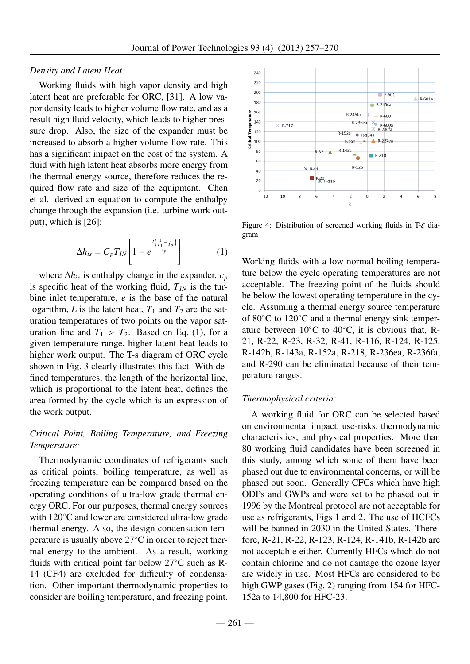# *Density and Latent Heat:*

Working fluids with high vapor density and high latent heat are preferable for ORC, [31]. A low vapor density leads to higher volume flow rate, and as a result high fluid velocity, which leads to higher pressure drop. Also, the size of the expander must be increased to absorb a higher volume flow rate. This has a significant impact on the cost of the system. A fluid with high latent heat absorbs more energy from the thermal energy source, therefore reduces the required flow rate and size of the equipment. Chen et al. derived an equation to compute the enthalpy change through the expansion (i.e. turbine work output), which is [26]:

$$
\Delta h_{is} = C_p T_{IN} \left[ 1 - e^{\frac{L\left(\frac{1}{T_1} - \frac{1}{T_2}\right)}{c_p}} \right]
$$
 (1)

where  $\Delta h$ <sup>*is*</sup> is enthalpy change in the expander,  $c_p$ is specific heat of the working fluid,  $T_{IN}$  is the turbine inlet temperature, *e* is the base of the natural logarithm, *L* is the latent heat,  $T_1$  and  $T_2$  are the saturation temperatures of two points on the vapor saturation line and  $T_1 > T_2$ . Based on Eq. (1), for a given temperature range, higher latent heat leads to higher work output. The T-s diagram of ORC cycle shown in Fig. 3 clearly illustrates this fact. With defined temperatures, the length of the horizontal line, which is proportional to the latent heat, defines the area formed by the cycle which is an expression of the work output.

# *Critical Point, Boiling Temperature, and Freezing Temperature:*

Thermodynamic coordinates of refrigerants such as critical points, boiling temperature, as well as freezing temperature can be compared based on the operating conditions of ultra-low grade thermal energy ORC. For our purposes, thermal energy sources with 120<sup>°</sup>C and lower are considered ultra-low grade thermal energy. Also, the design condensation temperature is usually above 27◦C in order to reject thermal energy to the ambient. As a result, working fluids with critical point far below 27°C such as R-14 (CF4) are excluded for difficulty of condensation. Other important thermodynamic properties to consider are boiling temperature, and freezing point.



Figure 4: Distribution of screened working fluids in T-ξ diagram

Working fluids with a low normal boiling temperature below the cycle operating temperatures are not acceptable. The freezing point of the fluids should be below the lowest operating temperature in the cycle. Assuming a thermal energy source temperature of 80◦C to 120◦C and a thermal energy sink temperature between  $10^{\circ}$ C to  $40^{\circ}$ C, it is obvious that, R-21, R-22, R-23, R-32, R-41, R-116, R-124, R-125, R-142b, R-143a, R-152a, R-218, R-236ea, R-236fa, and R-290 can be eliminated because of their temperature ranges.

#### *Thermophysical criteria:*

A working fluid for ORC can be selected based on environmental impact, use-risks, thermodynamic characteristics, and physical properties. More than 80 working fluid candidates have been screened in this study, among which some of them have been phased out due to environmental concerns, or will be phased out soon. Generally CFCs which have high ODPs and GWPs and were set to be phased out in 1996 by the Montreal protocol are not acceptable for use as refrigerants, Figs 1 and 2. The use of HCFCs will be banned in 2030 in the United States. Therefore, R-21, R-22, R-123, R-124, R-141b, R-142b are not acceptable either. Currently HFCs which do not contain chlorine and do not damage the ozone layer are widely in use. Most HFCs are considered to be high GWP gases (Fig. 2) ranging from 154 for HFC-152a to 14,800 for HFC-23.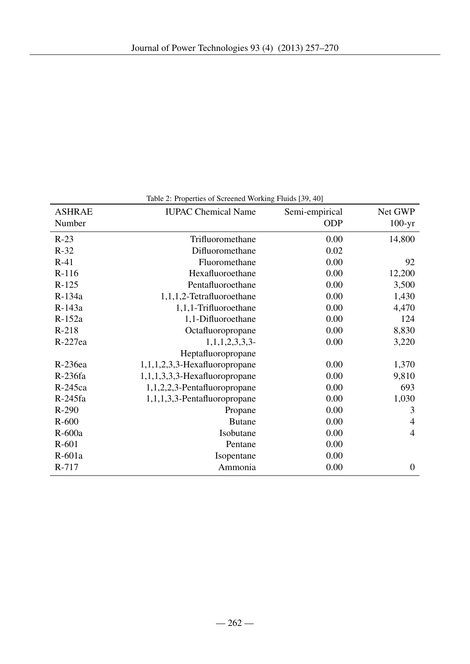| <b>ASHRAE</b><br>Number | <b>IUPAC Chemical Name</b>       | Semi-empirical<br><b>ODP</b> | Net GWP<br>$100-yr$ |
|-------------------------|----------------------------------|------------------------------|---------------------|
| $R-23$                  | Trifluoromethane                 | 0.00                         | 14,800              |
| $R-32$                  | Difluoromethane                  | 0.02                         |                     |
| $R-41$                  | Fluoromethane                    | 0.00                         | 92                  |
| R-116                   | Hexafluoroethane                 | 0.00                         | 12,200              |
| $R-125$                 | Pentafluoroethane                | 0.00                         | 3,500               |
| R-134a                  | 1,1,1,2-Tetrafluoroethane        | 0.00                         | 1,430               |
| R-143a                  | 1,1,1-Trifluoroethane            | 0.00                         | 4,470               |
| R-152a                  | 1,1-Difluoroethane               | 0.00                         | 124                 |
| $R-218$                 | Octafluoropropane                | 0.00                         | 8,830               |
| R-227ea                 | 1,1,1,2,3,3,3                    | 0.00                         | 3,220               |
|                         | Heptafluoropropane               |                              |                     |
| R-236ea                 | $1,1,1,2,3,3$ -Hexafluoropropane | 0.00                         | 1,370               |
| R-236fa                 | $1,1,1,3,3,3$ -Hexafluoropropane | 0.00                         | 9,810               |
| R-245ca                 | 1,1,2,2,3-Pentafluoropropane     | 0.00                         | 693                 |
| R-245fa                 | 1,1,1,3,3-Pentafluoropropane     | 0.00                         | 1,030               |
| R-290                   | Propane                          | 0.00                         | 3                   |
| $R-600$                 | <b>Butane</b>                    | 0.00                         | $\overline{4}$      |
| $R-600a$                | Isobutane                        | 0.00                         | $\overline{4}$      |
| $R-601$                 | Pentane                          | 0.00                         |                     |
| R-601a                  | Isopentane                       | 0.00                         |                     |
| R-717                   | Ammonia                          | 0.00                         | $\overline{0}$      |
|                         |                                  |                              |                     |

Table 2: Properties of Screened Working Fluids [39, 40]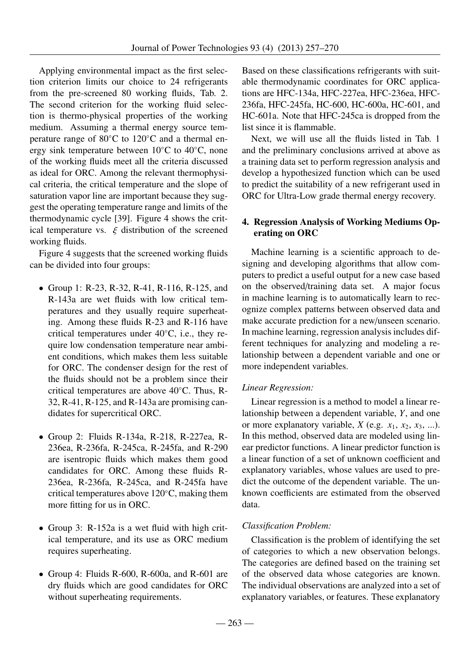Applying environmental impact as the first selection criterion limits our choice to 24 refrigerants from the pre-screened 80 working fluids, Tab. 2. The second criterion for the working fluid selection is thermo-physical properties of the working medium. Assuming a thermal energy source temperature range of 80◦C to 120◦C and a thermal energy sink temperature between 10◦C to 40◦C, none of the working fluids meet all the criteria discussed as ideal for ORC. Among the relevant thermophysical criteria, the critical temperature and the slope of saturation vapor line are important because they suggest the operating temperature range and limits of the thermodynamic cycle [39]. Figure 4 shows the critical temperature vs.  $\xi$  distribution of the screened working fluids.

Figure 4 suggests that the screened working fluids can be divided into four groups:

- Group 1: R-23, R-32, R-41, R-116, R-125, and R-143a are wet fluids with low critical temperatures and they usually require superheating. Among these fluids R-23 and R-116 have critical temperatures under 40◦C, i.e., they require low condensation temperature near ambient conditions, which makes them less suitable for ORC. The condenser design for the rest of the fluids should not be a problem since their critical temperatures are above 40◦C. Thus, R-32, R-41, R-125, and R-143a are promising candidates for supercritical ORC.
- Group 2: Fluids R-134a, R-218, R-227ea, R-236ea, R-236fa, R-245ca, R-245fa, and R-290 are isentropic fluids which makes them good candidates for ORC. Among these fluids R-236ea, R-236fa, R-245ca, and R-245fa have critical temperatures above 120◦C, making them more fitting for us in ORC.
- Group 3: R-152a is a wet fluid with high critical temperature, and its use as ORC medium requires superheating.
- Group 4: Fluids R-600, R-600a, and R-601 are dry fluids which are good candidates for ORC without superheating requirements.

Based on these classifications refrigerants with suitable thermodynamic coordinates for ORC applications are HFC-134a, HFC-227ea, HFC-236ea, HFC-236fa, HFC-245fa, HC-600, HC-600a, HC-601, and HC-601a. Note that HFC-245ca is dropped from the list since it is flammable.

Next, we will use all the fluids listed in Tab. 1 and the preliminary conclusions arrived at above as a training data set to perform regression analysis and develop a hypothesized function which can be used to predict the suitability of a new refrigerant used in ORC for Ultra-Low grade thermal energy recovery.

# 4. Regression Analysis of Working Mediums Operating on ORC

Machine learning is a scientific approach to designing and developing algorithms that allow computers to predict a useful output for a new case based on the observed/training data set. A major focus in machine learning is to automatically learn to recognize complex patterns between observed data and make accurate prediction for a new/unseen scenario. In machine learning, regression analysis includes different techniques for analyzing and modeling a relationship between a dependent variable and one or more independent variables.

# *Linear Regression:*

Linear regression is a method to model a linear relationship between a dependent variable, *Y*, and one or more explanatory variable,  $X$  (e.g.  $x_1$ ,  $x_2$ ,  $x_3$ , ...). In this method, observed data are modeled using linear predictor functions. A linear predictor function is a linear function of a set of unknown coefficient and explanatory variables, whose values are used to predict the outcome of the dependent variable. The unknown coefficients are estimated from the observed data.

# *Classification Problem:*

Classification is the problem of identifying the set of categories to which a new observation belongs. The categories are defined based on the training set of the observed data whose categories are known. The individual observations are analyzed into a set of explanatory variables, or features. These explanatory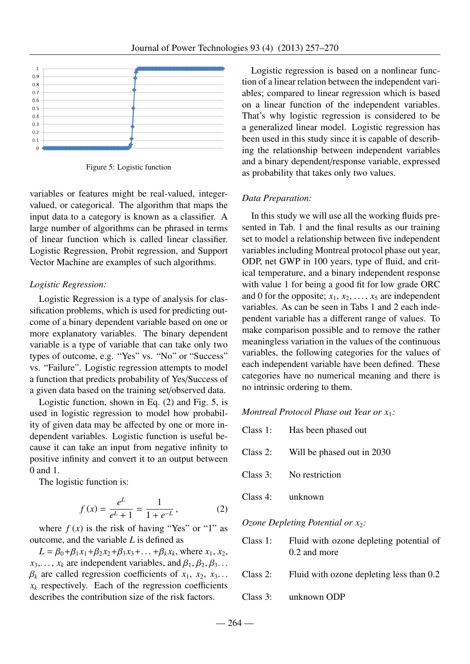

Figure 5: Logistic function

variables or features might be real-valued, integervalued, or categorical. The algorithm that maps the input data to a category is known as a classifier. A large number of algorithms can be phrased in terms of linear function which is called linear classifier. Logistic Regression, Probit regression, and Support Vector Machine are examples of such algorithms.

#### *Logistic Regression:*

Logistic Regression is a type of analysis for classification problems, which is used for predicting outcome of a binary dependent variable based on one or more explanatory variables. The binary dependent variable is a type of variable that can take only two types of outcome, e.g. "Yes" vs. "No" or "Success" vs. "Failure". Logistic regression attempts to model a function that predicts probability of Yes/Success of a given data based on the training set/observed data.

Logistic function, shown in Eq. (2) and Fig. 5, is used in logistic regression to model how probability of given data may be affected by one or more independent variables. Logistic function is useful because it can take an input from negative infinity to positive infinity and convert it to an output between 0 and 1.

The logistic function is:

$$
f(x) = \frac{e^L}{e^L + 1} = \frac{1}{1 + e^{-L}},
$$
 (2)

where  $f(x)$  is the risk of having "Yes" or "1" as outcome, and the variable *L* is defined as

 $L = \beta_0 + \beta_1 x_1 + \beta_2 x_2 + \beta_3 x_3 + \ldots + \beta_k x_k$ , where  $x_1, x_2,$ <br> *x<sub>i</sub>* are independent variables and  $\beta_1, \beta_2, \beta_3$  $x_3, \ldots, x_k$  are independent variables, and  $\beta_1, \beta_2, \beta_3, \ldots$  $\beta_k$  are called regression coefficients of  $x_1, x_2, x_3$ ...  $x_k$  respectively. Each of the regression coefficients describes the contribution size of the risk factors.

Logistic regression is based on a nonlinear function of a linear relation between the independent variables; compared to linear regression which is based on a linear function of the independent variables. That's why logistic regression is considered to be a generalized linear model. Logistic regression has been used in this study since it is capable of describing the relationship between independent variables and a binary dependent/response variable, expressed as probability that takes only two values.

#### *Data Preparation:*

In this study we will use all the working fluids presented in Tab. 1 and the final results as our training set to model a relationship between five independent variables including Montreal protocol phase out year, ODP, net GWP in 100 years, type of fluid, and critical temperature, and a binary independent response with value 1 for being a good fit for low grade ORC and 0 for the opposite;  $x_1, x_2, \ldots, x_5$  are independent variables. As can be seen in Tabs 1 and 2 each independent variable has a different range of values. To make comparison possible and to remove the rather meaningless variation in the values of the continuous variables, the following categories for the values of each independent variable have been defined. These categories have no numerical meaning and there is no intrinsic ordering to them.

## *Montreal Protocol Phase out Year or x*1*:*

|             | Class 1: Has been phased out                            |
|-------------|---------------------------------------------------------|
| $Class 2$ : | Will be phased out in 2030                              |
|             | Class 3: No restriction                                 |
| Class 4:    | unknown                                                 |
|             | <i>Ozone Depleting Potential or <math>x_2</math>:</i>   |
| Class 1:    | Fluid with ozone depleting potential of<br>0.2 and more |

| Class $2$ : | Fluid with ozone depleting less than 0.2 |
|-------------|------------------------------------------|

Class 3: unknown ODP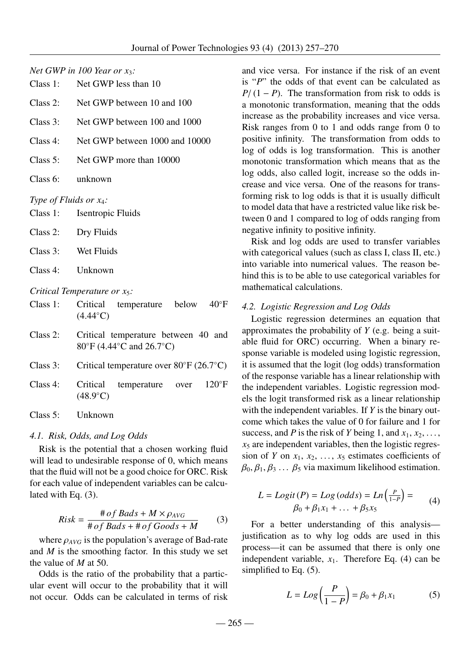### *Net GWP in 100 Year or x*3*:*

| Class $1$ : | Net GWP less than 10 |  |
|-------------|----------------------|--|
|             |                      |  |

- Class 2: Net GWP between 10 and 100
- Class 3: Net GWP between 100 and 1000
- Class 4: Net GWP between 1000 and 10000
- Class 5: Net GWP more than 10000
- Class 6: unknown

# *Type of Fluids or x*4*:*

- Class 1: Isentropic Fluids
- Class 2: Dry Fluids
- Class 3: Wet Fluids
- Class 4: Unknown

# *Critical Temperature or x*5*:*

- Class 1: Critical temperature below 40◦F  $(4.44°C)$
- Class 2: Critical temperature between 40 and 80◦F (4.44◦C and 26.7◦C)
- Class 3: Critical temperature over 80◦F (26.7◦C)
- Class 4: Critical temperature over 120◦F  $(48.9°C)$
- Class 5: Unknown

# *4.1. Risk, Odds, and Log Odds*

Risk is the potential that a chosen working fluid will lead to undesirable response of 0, which means that the fluid will not be a good choice for ORC. Risk for each value of independent variables can be calculated with Eq. (3).

$$
Risk = \frac{\# of \:Bads + M \times \rho_{AVG}}{\# of \:Bads + \# of \:Goods + M}
$$
 (3)

where  $\rho_{AVG}$  is the population's average of Bad-rate and *M* is the smoothing factor. In this study we set the value of *M* at 50.

Odds is the ratio of the probability that a particular event will occur to the probability that it will not occur. Odds can be calculated in terms of risk and vice versa. For instance if the risk of an event is "*P*" the odds of that event can be calculated as  $P/(1 - P)$ . The transformation from risk to odds is a monotonic transformation, meaning that the odds increase as the probability increases and vice versa. Risk ranges from 0 to 1 and odds range from 0 to positive infinity. The transformation from odds to log of odds is log transformation. This is another monotonic transformation which means that as the log odds, also called logit, increase so the odds increase and vice versa. One of the reasons for transforming risk to log odds is that it is usually difficult to model data that have a restricted value like risk between 0 and 1 compared to log of odds ranging from negative infinity to positive infinity.

Risk and log odds are used to transfer variables with categorical values (such as class I, class II, etc.) into variable into numerical values. The reason behind this is to be able to use categorical variables for mathematical calculations.

# *4.2. Logistic Regression and Log Odds*

Logistic regression determines an equation that approximates the probability of *Y* (e.g. being a suitable fluid for ORC) occurring. When a binary response variable is modeled using logistic regression, it is assumed that the logit (log odds) transformation of the response variable has a linear relationship with the independent variables. Logistic regression models the logit transformed risk as a linear relationship with the independent variables. If *Y* is the binary outcome which takes the value of 0 for failure and 1 for success, and *P* is the risk of *Y* being 1, and  $x_1, x_2, \ldots$ ,  $x<sub>5</sub>$  are independent variables, then the logistic regression of *Y* on  $x_1, x_2, \ldots, x_5$  estimates coefficients of  $\beta_0$ ,  $\beta_1$ ,  $\beta_3$  ...  $\beta_5$  via maximum likelihood estimation.

$$
L = Logit(P) = Log (odds) = Ln\left(\frac{P}{1-P}\right) =
$$
  

$$
\beta_0 + \beta_1 x_1 + \dots + \beta_5 x_5
$$
 (4)

For a better understanding of this analysis justification as to why log odds are used in this process—it can be assumed that there is only one independent variable,  $x_1$ . Therefore Eq. (4) can be simplified to Eq. (5).

$$
L = Log\left(\frac{P}{1 - P}\right) = \beta_0 + \beta_1 x_1 \tag{5}
$$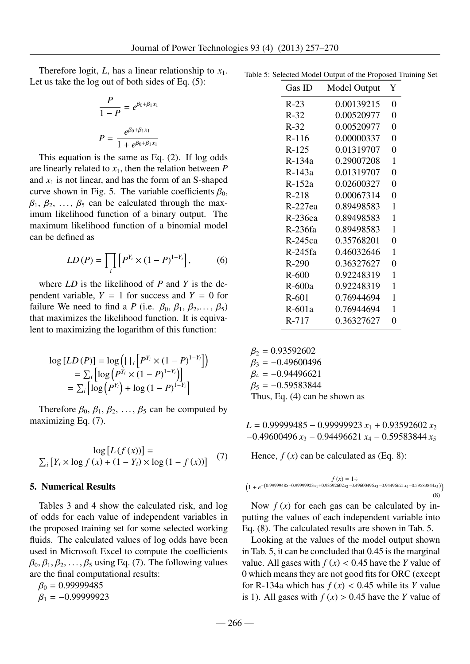Therefore logit,  $L$ , has a linear relationship to  $x_1$ . Let us take the log out of both sides of Eq. (5):

$$
\frac{P}{1 - P} = e^{\beta_0 + \beta_1 x_1}
$$

$$
P = \frac{e^{\beta_0 + \beta_1 x_1}}{1 + e^{\beta_0 + \beta_1 x_1}}
$$

This equation is the same as Eq. (2). If log odds are linearly related to  $x_1$ , then the relation between  $P$ and  $x_1$  is not linear, and has the form of an S-shaped curve shown in Fig. 5. The variable coefficients  $\beta_0$ ,  $\beta_1, \beta_2, \ldots, \beta_5$  can be calculated through the maximum likelihood function of a binary output. The maximum likelihood function of a binomial model can be defined as

$$
LD(P) = \prod_{i} \left[ P^{Y_i} \times (1 - P)^{1 - Y_i} \right],\tag{6}
$$

where *LD* is the likelihood of *P* and *Y* is the dependent variable,  $Y = 1$  for success and  $Y = 0$  for failure We need to find a *P* (i.e.  $\beta_0$ ,  $\beta_1$ ,  $\beta_2$ ,...,  $\beta_5$ ) that maximizes the likelihood function. It is equivalent to maximizing the logarithm of this function:

$$
\log [LD(P)] = \log \left( \prod_i \left[ P^{Y_i} \times (1 - P)^{1 - Y_i} \right] \right)
$$
  
= 
$$
\sum_i \left[ \log \left( P^{Y_i} \times (1 - P)^{1 - Y_i} \right) \right]
$$
  
= 
$$
\sum_i \left[ \log \left( P^{Y_i} \right) + \log \left( 1 - P \right)^{1 - Y_i} \right]
$$

Therefore  $\beta_0$ ,  $\beta_1$ ,  $\beta_2$ , ...,  $\beta_5$  can be computed by maximizing Eq. (7).

$$
\log [L(f(x))] =
$$
  

$$
\sum_{i} [Y_i \times \log f(x) + (1 - Y_i) \times \log (1 - f(x))]
$$
 (7)

#### 5. Numerical Results

Tables 3 and 4 show the calculated risk, and log of odds for each value of independent variables in the proposed training set for some selected working fluids. The calculated values of log odds have been used in Microsoft Excel to compute the coefficients  $\beta_0$ ,  $\beta_1$ ,  $\beta_2$ , ...,  $\beta_5$  using Eq. (7). The following values are the final computational results:

 $\beta_0 = 0.99999485$  $\beta_1 = -0.99999923$ 

Table 5: Selected Model Output of the Proposed Training Set

| Gas ID   | Model Output | Y              |
|----------|--------------|----------------|
| $R-23$   | 0.00139215   | 0              |
| $R-32$   | 0.00520977   | 0              |
| $R-32$   | 0.00520977   | 0              |
| $R-116$  | 0.00000337   | $\overline{0}$ |
| $R-125$  | 0.01319707   | 0              |
| $R-134a$ | 0.29007208   | 1              |
| $R-143a$ | 0.01319707   | $\overline{0}$ |
| $R-152a$ | 0.02600327   | 0              |
| $R-218$  | 0.00067314   | $\overline{0}$ |
| R-227ea  | 0.89498583   | 1              |
| R-236ea  | 0.89498583   | 1              |
| R-236fa  | 0.89498583   | 1              |
| R-245ca  | 0.35768201   | 0              |
| R-245fa  | 0.46032646   | 1              |
| R-290    | 0.36327627   | 0              |
| $R-600$  | 0.92248319   | 1              |
| R-600a   | 0.92248319   | 1              |
| $R-601$  | 0.76944694   | 1              |
| R-601a   | 0.76944694   | 1              |
| $R-717$  | 0.36327627   | 0              |

 $\beta_2 = 0.93592602$  $\beta_3 = -0.49600496$  $\beta_4 = -0.94496621$  $\beta_5 = -0.59583844$ Thus, Eq. (4) can be shown as

*<sup>L</sup>* <sup>=</sup> <sup>0</sup>.<sup>99999485</sup> <sup>−</sup> <sup>0</sup>.<sup>99999923</sup> *<sup>x</sup>*<sup>1</sup> <sup>+</sup> <sup>0</sup>.<sup>93592602</sup> *<sup>x</sup>*<sup>2</sup> <sup>−</sup>0.<sup>49600496</sup> *<sup>x</sup>*<sup>3</sup> <sup>−</sup> <sup>0</sup>.<sup>94496621</sup> *<sup>x</sup>*<sup>4</sup> <sup>−</sup> <sup>0</sup>.<sup>59583844</sup> *<sup>x</sup>*<sup>5</sup>

Hence,  $f(x)$  can be calculated as (Eq. 8):

$$
f(x) = 1 \div \left(1 + e^{-\left(0.99999485 - 0.99999923x_1 + 0.93592602x_2 - 0.49600496x_3 - 0.94496621x_4 - 0.59583844x_5\right)}\right)
$$
\n(8)

Now  $f(x)$  for each gas can be calculated by inputting the values of each independent variable into Eq. (8). The calculated results are shown in Tab. 5.

Looking at the values of the model output shown in Tab. 5, it can be concluded that 0.45 is the marginal value. All gases with  $f(x) < 0.45$  have the *Y* value of 0 which means they are not good fits for ORC (except for R-134a which has  $f(x) < 0.45$  while its *Y* value is 1). All gases with  $f(x) > 0.45$  have the *Y* value of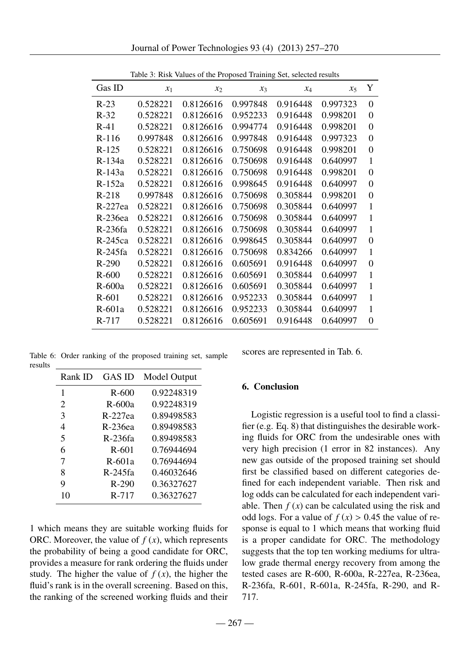| Gas ID    | $x_1$    | $x_2$     | $x_3$    | $x_4$    | $x_{5}$  | Y            |
|-----------|----------|-----------|----------|----------|----------|--------------|
| $R-23$    | 0.528221 | 0.8126616 | 0.997848 | 0.916448 | 0.997323 | $\theta$     |
| $R-32$    | 0.528221 | 0.8126616 | 0.952233 | 0.916448 | 0.998201 | $\theta$     |
| $R-41$    | 0.528221 | 0.8126616 | 0.994774 | 0.916448 | 0.998201 | $\theta$     |
| $R-116$   | 0.997848 | 0.8126616 | 0.997848 | 0.916448 | 0.997323 | 0            |
| $R-125$   | 0.528221 | 0.8126616 | 0.750698 | 0.916448 | 0.998201 | $\theta$     |
| $R-134a$  | 0.528221 | 0.8126616 | 0.750698 | 0.916448 | 0.640997 | 1            |
| R-143a    | 0.528221 | 0.8126616 | 0.750698 | 0.916448 | 0.998201 | $\theta$     |
| $R-152a$  | 0.528221 | 0.8126616 | 0.998645 | 0.916448 | 0.640997 | $\Omega$     |
| $R-218$   | 0.997848 | 0.8126616 | 0.750698 | 0.305844 | 0.998201 | $\theta$     |
| R-227ea   | 0.528221 | 0.8126616 | 0.750698 | 0.305844 | 0.640997 | 1            |
| R-236ea   | 0.528221 | 0.8126616 | 0.750698 | 0.305844 | 0.640997 | $\mathbf{1}$ |
| R-236fa   | 0.528221 | 0.8126616 | 0.750698 | 0.305844 | 0.640997 | 1            |
| R-245ca   | 0.528221 | 0.8126616 | 0.998645 | 0.305844 | 0.640997 | 0            |
| $R-245fa$ | 0.528221 | 0.8126616 | 0.750698 | 0.834266 | 0.640997 | $\mathbf{1}$ |
| $R-290$   | 0.528221 | 0.8126616 | 0.605691 | 0.916448 | 0.640997 | 0            |
| $R-600$   | 0.528221 | 0.8126616 | 0.605691 | 0.305844 | 0.640997 | 1            |
| $R-600a$  | 0.528221 | 0.8126616 | 0.605691 | 0.305844 | 0.640997 | 1            |
| $R-601$   | 0.528221 | 0.8126616 | 0.952233 | 0.305844 | 0.640997 | $\mathbf{1}$ |
| $R-601a$  | 0.528221 | 0.8126616 | 0.952233 | 0.305844 | 0.640997 | $\mathbf{1}$ |
| R-717     | 0.528221 | 0.8126616 | 0.605691 | 0.916448 | 0.640997 | $\theta$     |

Table 3: Risk Values of the Proposed Training Set, selected results

Table 6: Order ranking of the proposed training set, sample results

| Rank ID                  | GAS ID    | Model Output |
|--------------------------|-----------|--------------|
| 1                        | $R-600$   | 0.92248319   |
| $\overline{2}$           | R-600a    | 0.92248319   |
| 3                        | $R-227ea$ | 0.89498583   |
| 4                        | $R-236ea$ | 0.89498583   |
| $\overline{\phantom{0}}$ | R-236fa   | 0.89498583   |
| 6                        | R-601     | 0.76944694   |
| 7                        | $R-601a$  | 0.76944694   |
| 8                        | $R-245fa$ | 0.46032646   |
| 9                        | $R-290$   | 0.36327627   |
| 10                       | $R - 717$ | 0.36327627   |

1 which means they are suitable working fluids for ORC. Moreover, the value of  $f(x)$ , which represents the probability of being a good candidate for ORC, provides a measure for rank ordering the fluids under study. The higher the value of  $f(x)$ , the higher the fluid's rank is in the overall screening. Based on this, the ranking of the screened working fluids and their scores are represented in Tab. 6.

# 6. Conclusion

Logistic regression is a useful tool to find a classifier (e.g. Eq. 8) that distinguishes the desirable working fluids for ORC from the undesirable ones with very high precision (1 error in 82 instances). Any new gas outside of the proposed training set should first be classified based on different categories defined for each independent variable. Then risk and log odds can be calculated for each independent variable. Then  $f(x)$  can be calculated using the risk and odd logs. For a value of  $f(x) > 0.45$  the value of response is equal to 1 which means that working fluid is a proper candidate for ORC. The methodology suggests that the top ten working mediums for ultralow grade thermal energy recovery from among the tested cases are R-600, R-600a, R-227ea, R-236ea, R-236fa, R-601, R-601a, R-245fa, R-290, and R-717.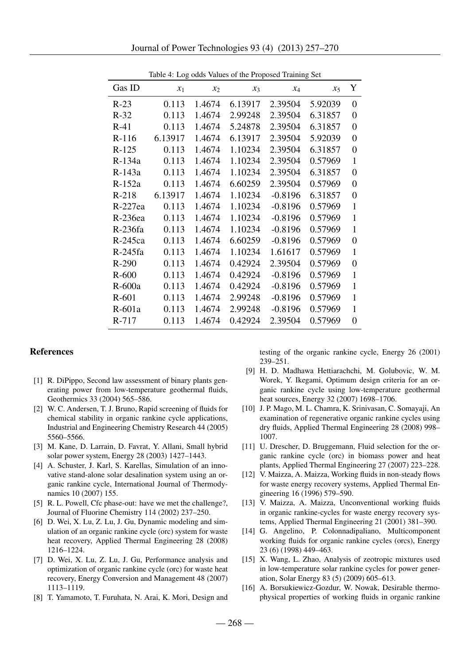|          |         |        | case values of the freposed framing see |           |         |                  |
|----------|---------|--------|-----------------------------------------|-----------|---------|------------------|
| Gas ID   | $x_1$   | $x_2$  | $x_3$                                   | $x_4$     | $x_5$   | Y                |
| $R-23$   | 0.113   | 1.4674 | 6.13917                                 | 2.39504   | 5.92039 | $\boldsymbol{0}$ |
| $R-32$   | 0.113   | 1.4674 | 2.99248                                 | 2.39504   | 6.31857 | $\boldsymbol{0}$ |
| $R-41$   | 0.113   | 1.4674 | 5.24878                                 | 2.39504   | 6.31857 | $\overline{0}$   |
| $R-116$  | 6.13917 | 1.4674 | 6.13917                                 | 2.39504   | 5.92039 | $\boldsymbol{0}$ |
| $R-125$  | 0.113   | 1.4674 | 1.10234                                 | 2.39504   | 6.31857 | 0                |
| R-134a   | 0.113   | 1.4674 | 1.10234                                 | 2.39504   | 0.57969 | $\mathbf{1}$     |
| R-143a   | 0.113   | 1.4674 | 1.10234                                 | 2.39504   | 6.31857 | $\boldsymbol{0}$ |
| $R-152a$ | 0.113   | 1.4674 | 6.60259                                 | 2.39504   | 0.57969 | $\boldsymbol{0}$ |
| $R-218$  | 6.13917 | 1.4674 | 1.10234                                 | $-0.8196$ | 6.31857 | $\boldsymbol{0}$ |
| R-227ea  | 0.113   | 1.4674 | 1.10234                                 | $-0.8196$ | 0.57969 | $\mathbf{1}$     |
| R-236ea  | 0.113   | 1.4674 | 1.10234                                 | $-0.8196$ | 0.57969 | 1                |
| R-236fa  | 0.113   | 1.4674 | 1.10234                                 | $-0.8196$ | 0.57969 | $\mathbf{1}$     |
| R-245ca  | 0.113   | 1.4674 | 6.60259                                 | $-0.8196$ | 0.57969 | $\boldsymbol{0}$ |
| R-245fa  | 0.113   | 1.4674 | 1.10234                                 | 1.61617   | 0.57969 | $\mathbf{1}$     |
| $R-290$  | 0.113   | 1.4674 | 0.42924                                 | 2.39504   | 0.57969 | $\boldsymbol{0}$ |
| $R-600$  | 0.113   | 1.4674 | 0.42924                                 | $-0.8196$ | 0.57969 | $\mathbf{1}$     |
| $R-600a$ | 0.113   | 1.4674 | 0.42924                                 | $-0.8196$ | 0.57969 | $\mathbf{1}$     |
| $R-601$  | 0.113   | 1.4674 | 2.99248                                 | $-0.8196$ | 0.57969 | 1                |
| $R-601a$ | 0.113   | 1.4674 | 2.99248                                 | $-0.8196$ | 0.57969 | $\mathbf{1}$     |
| R-717    | 0.113   | 1.4674 | 0.42924                                 | 2.39504   | 0.57969 | $\overline{0}$   |

Table 4: Log odds Values of the Proposed Training Set

#### References

- [1] R. DiPippo, Second law assessment of binary plants generating power from low-temperature geothermal fluids, Geothermics 33 (2004) 565–586.
- [2] W. C. Andersen, T. J. Bruno, Rapid screening of fluids for chemical stability in organic rankine cycle applications, Industrial and Engineering Chemistry Research 44 (2005) 5560–5566.
- [3] M. Kane, D. Larrain, D. Favrat, Y. Allani, Small hybrid solar power system, Energy 28 (2003) 1427–1443.
- [4] A. Schuster, J. Karl, S. Karellas, Simulation of an innovative stand-alone solar desalination system using an organic rankine cycle, International Journal of Thermodynamics 10 (2007) 155.
- [5] R. L. Powell, Cfc phase-out: have we met the challenge?, Journal of Fluorine Chemistry 114 (2002) 237–250.
- [6] D. Wei, X. Lu, Z. Lu, J. Gu, Dynamic modeling and simulation of an organic rankine cycle (orc) system for waste heat recovery, Applied Thermal Engineering 28 (2008) 1216–1224.
- [7] D. Wei, X. Lu, Z. Lu, J. Gu, Performance analysis and optimization of organic rankine cycle (orc) for waste heat recovery, Energy Conversion and Management 48 (2007) 1113–1119.
- [8] T. Yamamoto, T. Furuhata, N. Arai, K. Mori, Design and

testing of the organic rankine cycle, Energy 26 (2001) 239–251.

- [9] H. D. Madhawa Hettiarachchi, M. Golubovic, W. M. Worek, Y. Ikegami, Optimum design criteria for an organic rankine cycle using low-temperature geothermal heat sources, Energy 32 (2007) 1698–1706.
- [10] J. P. Mago, M. L. Chamra, K. Srinivasan, C. Somayaji, An examination of regenerative organic rankine cycles using dry fluids, Applied Thermal Engineering 28 (2008) 998– 1007.
- [11] U. Drescher, D. Bruggemann, Fluid selection for the organic rankine cycle (orc) in biomass power and heat plants, Applied Thermal Engineering 27 (2007) 223–228.
- [12] V. Maizza, A. Maizza, Working fluids in non-steady flows for waste energy recovery systems, Applied Thermal Engineering 16 (1996) 579–590.
- [13] V. Maizza, A. Maizza, Unconventional working fluids in organic rankine-cycles for waste energy recovery systems, Applied Thermal Engineering 21 (2001) 381–390.
- [14] G. Angelino, P. Colonnadipaliano, Multicomponent working fluids for organic rankine cycles (orcs), Energy 23 (6) (1998) 449–463.
- [15] X. Wang, L. Zhao, Analysis of zeotropic mixtures used in low-temperature solar rankine cycles for power generation, Solar Energy 83 (5) (2009) 605–613.
- [16] A. Borsukiewicz-Gozdur, W. Nowak, Desirable thermophysical properties of working fluids in organic rankine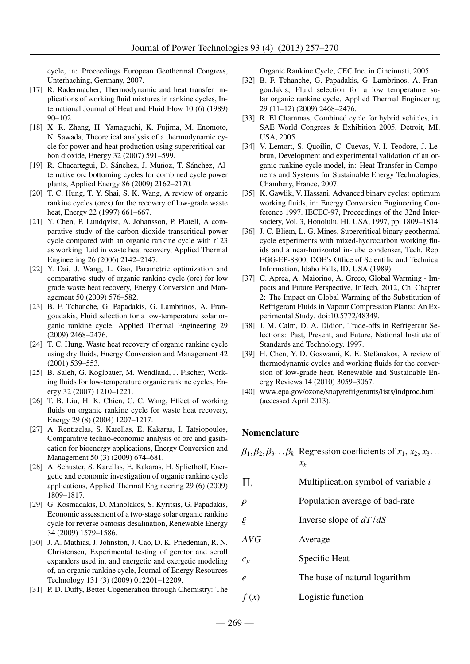cycle, in: Proceedings European Geothermal Congress, Unterhaching, Germany, 2007.

- [17] R. Radermacher, Thermodynamic and heat transfer implications of working fluid mixtures in rankine cycles, International Journal of Heat and Fluid Flow 10 (6) (1989) 90–102.
- [18] X. R. Zhang, H. Yamaguchi, K. Fujima, M. Enomoto, N. Sawada, Theoretical analysis of a thermodynamic cycle for power and heat production using supercritical carbon dioxide, Energy 32 (2007) 591–599.
- [19] R. Chacartegui, D. Sánchez, J. Muńoz, T. Sánchez, Alternative orc bottoming cycles for combined cycle power plants, Applied Energy 86 (2009) 2162–2170.
- [20] T. C. Hung, T. Y. Shai, S. K. Wang, A review of organic rankine cycles (orcs) for the recovery of low-grade waste heat, Energy 22 (1997) 661–667.
- [21] Y. Chen, P. Lundqvist, A. Johansson, P. Platell, A comparative study of the carbon dioxide transcritical power cycle compared with an organic rankine cycle with r123 as working fluid in waste heat recovery, Applied Thermal Engineering 26 (2006) 2142–2147.
- [22] Y. Dai, J. Wang, L. Gao, Parametric optimization and comparative study of organic rankine cycle (orc) for low grade waste heat recovery, Energy Conversion and Management 50 (2009) 576–582.
- [23] B. F. Tchanche, G. Papadakis, G. Lambrinos, A. Frangoudakis, Fluid selection for a low-temperature solar organic rankine cycle, Applied Thermal Engineering 29 (2009) 2468–2476.
- [24] T. C. Hung, Waste heat recovery of organic rankine cycle using dry fluids, Energy Conversion and Management 42 (2001) 539–553.
- [25] B. Saleh, G. Koglbauer, M. Wendland, J. Fischer, Working fluids for low-temperature organic rankine cycles, Energy 32 (2007) 1210–1221.
- [26] T. B. Liu, H. K. Chien, C. C. Wang, Effect of working fluids on organic rankine cycle for waste heat recovery, Energy 29 (8) (2004) 1207–1217.
- [27] A. Rentizelas, S. Karellas, E. Kakaras, I. Tatsiopoulos, Comparative techno-economic analysis of orc and gasification for bioenergy applications, Energy Conversion and Management 50 (3) (2009) 674–681.
- [28] A. Schuster, S. Karellas, E. Kakaras, H. Spliethoff, Energetic and economic investigation of organic rankine cycle applications, Applied Thermal Engineering 29 (6) (2009) 1809–1817.
- [29] G. Kosmadakis, D. Manolakos, S. Kyritsis, G. Papadakis, Economic assessment of a two-stage solar organic rankine cycle for reverse osmosis desalination, Renewable Energy 34 (2009) 1579–1586.
- [30] J. A. Mathias, J. Johnston, J. Cao, D. K. Priedeman, R. N. Christensen, Experimental testing of gerotor and scroll expanders used in, and energetic and exergetic modeling of, an organic rankine cycle, Journal of Energy Resources Technology 131 (3) (2009) 012201–12209.
- [31] P. D. Duffy, Better Cogeneration through Chemistry: The

Organic Rankine Cycle, CEC Inc. in Cincinnati, 2005.

- [32] B. F. Tchanche, G. Papadakis, G. Lambrinos, A. Frangoudakis, Fluid selection for a low temperature solar organic rankine cycle, Applied Thermal Engineering 29 (11–12) (2009) 2468–2476.
- [33] R. El Chammas, Combined cycle for hybrid vehicles, in: SAE World Congress & Exhibition 2005, Detroit, MI, USA, 2005.
- [34] V. Lemort, S. Quoilin, C. Cuevas, V. I. Teodore, J. Lebrun, Development and experimental validation of an organic rankine cycle model, in: Heat Transfer in Components and Systems for Sustainable Energy Technologies, Chambery, France, 2007.
- [35] K. Gawlik, V. Hassani, Advanced binary cycles: optimum working fluids, in: Energy Conversion Engineering Conference 1997. IECEC-97, Proceedings of the 32nd Intersociety, Vol. 3, Honolulu, HI, USA, 1997, pp. 1809–1814.
- [36] J. C. Bliem, L. G. Mines, Supercritical binary geothermal cycle experiments with mixed-hydrocarbon working fluids and a near-horizontal in-tube condenser, Tech. Rep. EGG-EP-8800, DOE's Office of Scientific and Technical Information, Idaho Falls, ID, USA (1989).
- [37] C. Aprea, A. Maiorino, A. Greco, Global Warming Impacts and Future Perspective, InTech, 2012, Ch. Chapter 2: The Impact on Global Warming of the Substitution of Refrigerant Fluids in Vapour Compression Plants: An Experimental Study. doi:10.5772/48349.
- [38] J. M. Calm, D. A. Didion, Trade-offs in Refrigerant Selections: Past, Present, and Future, National Institute of Standards and Technology, 1997.
- [39] H. Chen, Y. D. Goswami, K. E. Stefanakos, A review of thermodynamic cycles and working fluids for the conversion of low-grade heat, Renewable and Sustainable Energy Reviews 14 (2010) 3059–3067.
- [40] www.epa.gov/ozone/snap/refrigerants/lists/indproc.html (accessed April 2013).

#### Nomenclature

|                  | $\beta_1, \beta_2, \beta_3 \dots \beta_k$ Regression coefficients of $x_1, x_2, x_3$ .<br>$\chi_k$ |
|------------------|----------------------------------------------------------------------------------------------------|
| $\prod_i$        | Multiplication symbol of variable i                                                                |
| $\rho$           | Population average of bad-rate                                                                     |
| ξ                | Inverse slope of $dT/dS$                                                                           |
| AVG              | Average                                                                                            |
| $c_p$            | Specific Heat                                                                                      |
| $\boldsymbol{e}$ | The base of natural logarithm                                                                      |
| f(x)             | Logistic function                                                                                  |